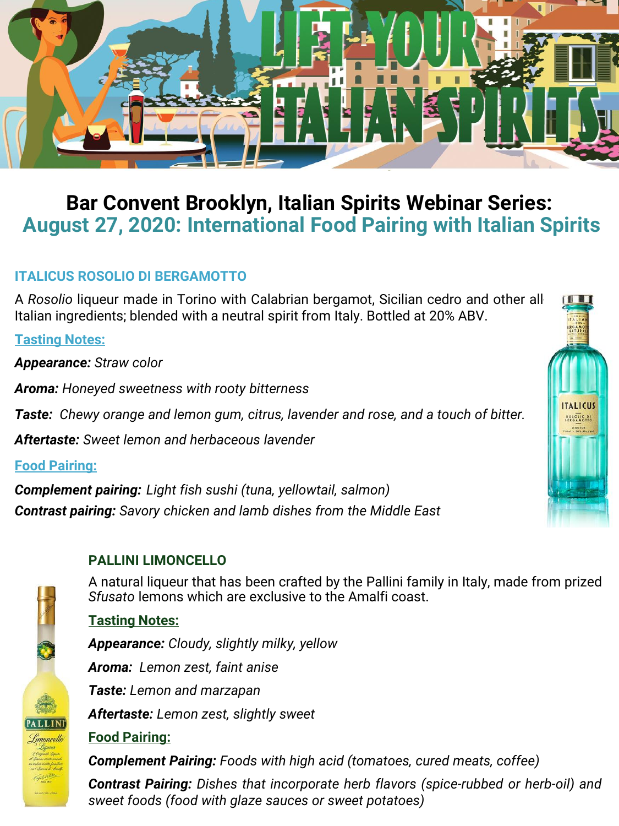

# **Bar Convent Brooklyn, Italian Spirits Webinar Series: August 27, 2020: International Food Pairing with Italian Spirits**

# **ITALICUS ROSOLIO DI BERGAMOTTO**

A *Rosolio* liqueur made in Torino with Calabrian bergamot, Sicilian cedro and other all-Italian ingredients; blended with a neutral spirit from Italy. Bottled at 20% ABV.

**Tasting Notes:**

*Appearance: Straw color*

*Aroma: Honeyed sweetness with rooty bitterness*

*Taste: Chewy orange and lemon gum, citrus, lavender and rose, and a touch of bitter.*

*Aftertaste: Sweet lemon and herbaceous lavender*

**Food Pairing:**

*Complement pairing: Light fish sushi (tuna, yellowtail, salmon) Contrast pairing: Savory chicken and lamb dishes from the Middle East*

# **PALLINI LIMONCELLO**

A natural liqueur that has been crafted by the Pallini family in Italy, made from prized *Sfusato* lemons which are exclusive to the Amalfi coast.

# **Tasting Notes:**

*Appearance: Cloudy, slightly milky, yellow Aroma: Lemon zest, faint anise Taste: Lemon and marzapan Aftertaste: Lemon zest, slightly sweet*

#### **Food Pairing:**

*Complement Pairing: Foods with high acid (tomatoes, cured meats, coffee)*

*Contrast Pairing: Dishes that incorporate herb flavors (spice-rubbed or herb-oil) and sweet foods (food with glaze sauces or sweet potatoes)*